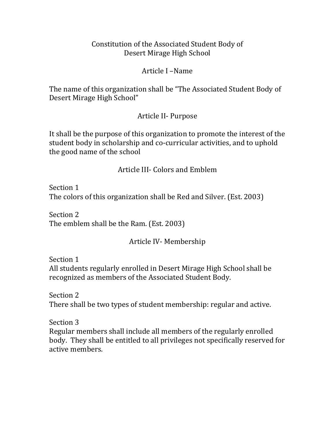#### Constitution of the Associated Student Body of Desert Mirage High School

#### Article I –Name

The name of this organization shall be "The Associated Student Body of Desert Mirage High School"

#### Article II- Purpose

It shall be the purpose of this organization to promote the interest of the student body in scholarship and co-curricular activities, and to uphold the good name of the school

Article III- Colors and Emblem

Section 1 The colors of this organization shall be Red and Silver. (Est. 2003)

Section 2 The emblem shall be the Ram. (Est. 2003)

Article IV- Membership

Section 1

All students regularly enrolled in Desert Mirage High School shall be recognized as members of the Associated Student Body.

Section 2 There shall be two types of student membership: regular and active.

Section 3 Regular members shall include all members of the regularly enrolled body. They shall be entitled to all privileges not specifically reserved for active members.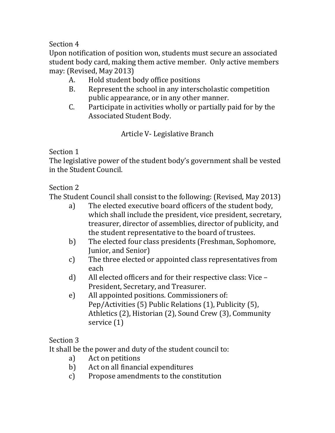Upon notification of position won, students must secure an associated student body card, making them active member. Only active members may: (Revised, May 2013)

- A. Hold student body office positions
- B. Represent the school in any interscholastic competition public appearance, or in any other manner.
- C. Participate in activities wholly or partially paid for by the Associated Student Body.

Article V- Legislative Branch

## Section 1

The legislative power of the student body's government shall be vested in the Student Council.

# Section 2

The Student Council shall consist to the following: (Revised, May 2013)

- a) The elected executive board officers of the student body, which shall include the president, vice president, secretary, treasurer, director of assemblies, director of publicity, and the student representative to the board of trustees.
- b) The elected four class presidents (Freshman, Sophomore, Junior, and Senior)
- c) The three elected or appointed class representatives from each
- d) All elected officers and for their respective class: Vice President, Secretary, and Treasurer.
- e) All appointed positions. Commissioners of: Pep/Activities (5) Public Relations (1), Publicity (5), Athletics (2), Historian (2), Sound Crew (3), Community service (1)

# Section 3

It shall be the power and duty of the student council to:

- a) Act on petitions
- b) Act on all financial expenditures
- c) Propose amendments to the constitution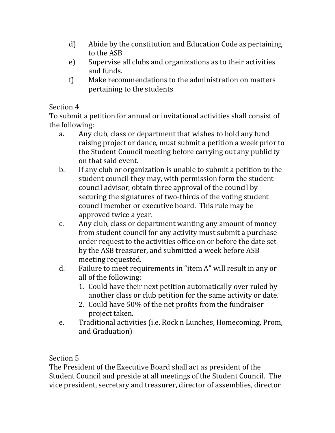- d) Abide by the constitution and Education Code as pertaining to the ASB
- e) Supervise all clubs and organizations as to their activities and funds.
- f) Make recommendations to the administration on matters pertaining to the students

To submit a petition for annual or invitational activities shall consist of the following:

- a. Any club, class or department that wishes to hold any fund raising project or dance, must submit a petition a week prior to the Student Council meeting before carrying out any publicity on that said event.
- b. If any club or organization is unable to submit a petition to the student council they may, with permission form the student council advisor, obtain three approval of the council by securing the signatures of two-thirds of the voting student council member or executive board. This rule may be approved twice a year.
- c. Any club, class or department wanting any amount of money from student council for any activity must submit a purchase order request to the activities office on or before the date set by the ASB treasurer, and submitted a week before ASB meeting requested.
- d. Failure to meet requirements in "item A" will result in any or all of the following:
	- 1. Could have their next petition automatically over ruled by another class or club petition for the same activity or date.
	- 2. Could have 50% of the net profits from the fundraiser project taken.
- e. Traditional activities (i.e. Rock n Lunches, Homecoming, Prom, and Graduation)

# Section 5

The President of the Executive Board shall act as president of the Student Council and preside at all meetings of the Student Council. The vice president, secretary and treasurer, director of assemblies, director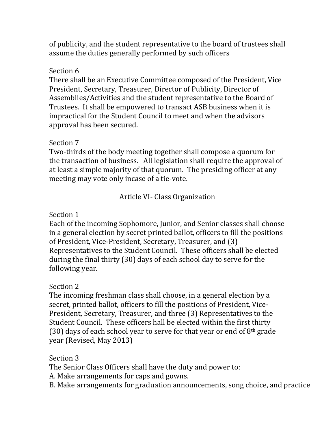of publicity, and the student representative to the board of trustees shall assume the duties generally performed by such officers

#### Section 6

There shall be an Executive Committee composed of the President, Vice President, Secretary, Treasurer, Director of Publicity, Director of Assemblies/Activities and the student representative to the Board of Trustees. It shall be empowered to transact ASB business when it is impractical for the Student Council to meet and when the advisors approval has been secured.

#### Section 7

Two-thirds of the body meeting together shall compose a quorum for the transaction of business. All legislation shall require the approval of at least a simple majority of that quorum. The presiding officer at any meeting may vote only incase of a tie-vote.

### Article VI- Class Organization

### Section 1

Each of the incoming Sophomore, Junior, and Senior classes shall choose in a general election by secret printed ballot, officers to fill the positions of President, Vice-President, Secretary, Treasurer, and (3) Representatives to the Student Council. These officers shall be elected during the final thirty (30) days of each school day to serve for the following year.

#### Section 2

The incoming freshman class shall choose, in a general election by a secret, printed ballot, officers to fill the positions of President, Vice-President, Secretary, Treasurer, and three (3) Representatives to the Student Council. These officers hall be elected within the first thirty (30) days of each school year to serve for that year or end of  $8<sup>th</sup>$  grade year (Revised, May 2013)

#### Section 3

The Senior Class Officers shall have the duty and power to:

A. Make arrangements for caps and gowns.

B. Make arrangements for graduation announcements, song choice, and practice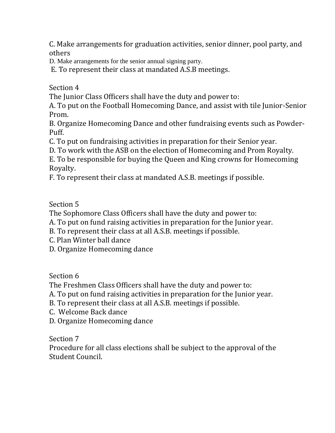C. Make arrangements for graduation activities, senior dinner, pool party, and others

D. Make arrangements for the senior annual signing party.

E. To represent their class at mandated A.S.B meetings.

Section 4

The Junior Class Officers shall have the duty and power to:

A. To put on the Football Homecoming Dance, and assist with tile Junior-Senior Prom.

B. Organize Homecoming Dance and other fundraising events such as Powder-Puff.

C. To put on fundraising activities in preparation for their Senior year.

D. To work with the ASB on the election of Homecoming and Prom Royalty.

E. To be responsible for buying the Queen and King crowns for Homecoming Royalty.

F. To represent their class at mandated A.S.B. meetings if possible.

Section 5

The Sophomore Class Officers shall have the duty and power to:

A. To put on fund raising activities in preparation for the Junior year.

B. To represent their class at all A.S.B. meetings if possible.

C. Plan Winter ball dance

D. Organize Homecoming dance

Section 6

The Freshmen Class Officers shall have the duty and power to:

A. To put on fund raising activities in preparation for the Junior year.

B. To represent their class at all A.S.B. meetings if possible.

- C. Welcome Back dance
- D. Organize Homecoming dance

Section 7

Procedure for all class elections shall be subject to the approval of the Student Council.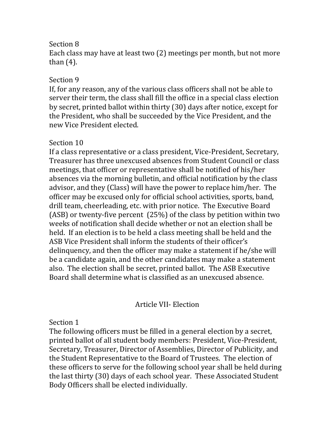Each class may have at least two (2) meetings per month, but not more than (4).

#### Section 9

If, for any reason, any of the various class officers shall not be able to server their term, the class shall fill the office in a special class election by secret, printed ballot within thirty (30) days after notice, except for the President, who shall be succeeded by the Vice President, and the new Vice President elected.

#### Section 10

If a class representative or a class president, Vice-President, Secretary, Treasurer has three unexcused absences from Student Council or class meetings, that officer or representative shall be notified of his/her absences via the morning bulletin, and official notification by the class advisor, and they (Class) will have the power to replace him/her. The officer may be excused only for official school activities, sports, band, drill team, cheerleading, etc. with prior notice. The Executive Board (ASB) or twenty-five percent (25%) of the class by petition within two weeks of notification shall decide whether or not an election shall be held. If an election is to be held a class meeting shall be held and the ASB Vice President shall inform the students of their officer's delinquency, and then the officer may make a statement if he/she will be a candidate again, and the other candidates may make a statement also. The election shall be secret, printed ballot. The ASB Executive Board shall determine what is classified as an unexcused absence.

#### Article VII- Election

#### Section 1

The following officers must be filled in a general election by a secret, printed ballot of all student body members: President, Vice-President, Secretary, Treasurer, Director of Assemblies, Director of Publicity, and the Student Representative to the Board of Trustees. The election of these officers to serve for the following school year shall be held during the last thirty (30) days of each school year. These Associated Student Body Officers shall be elected individually.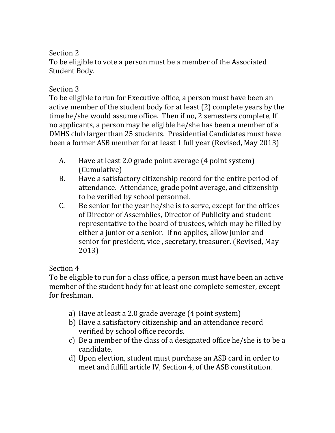To be eligible to vote a person must be a member of the Associated Student Body.

### Section 3

To be eligible to run for Executive office, a person must have been an active member of the student body for at least (2) complete years by the time he/she would assume office. Then if no, 2 semesters complete, If no applicants, a person may be eligible he/she has been a member of a DMHS club larger than 25 students. Presidential Candidates must have been a former ASB member for at least 1 full year (Revised, May 2013)

- A. Have at least 2.0 grade point average (4 point system) (Cumulative)
- B. Have a satisfactory citizenship record for the entire period of attendance. Attendance, grade point average, and citizenship to be verified by school personnel.
- C. Be senior for the year he/she is to serve, except for the offices of Director of Assemblies, Director of Publicity and student representative to the board of trustees, which may be filled by either a junior or a senior. If no applies, allow junior and senior for president, vice , secretary, treasurer. (Revised, May 2013)

### Section 4

To be eligible to run for a class office, a person must have been an active member of the student body for at least one complete semester, except for freshman.

- a) Have at least a 2.0 grade average (4 point system)
- b) Have a satisfactory citizenship and an attendance record verified by school office records.
- c) Be a member of the class of a designated office he/she is to be a candidate.
- d) Upon election, student must purchase an ASB card in order to meet and fulfill article IV, Section 4, of the ASB constitution.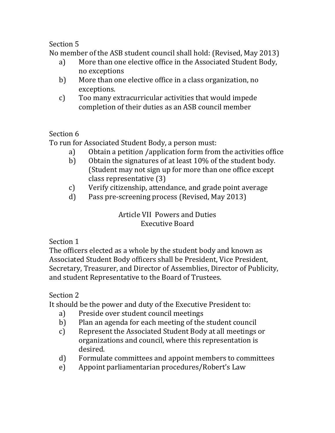No member of the ASB student council shall hold: (Revised, May 2013)

- a) More than one elective office in the Associated Student Body, no exceptions
- b) More than one elective office in a class organization, no exceptions.
- c) Too many extracurricular activities that would impede completion of their duties as an ASB council member

### Section 6

To run for Associated Student Body, a person must:

- a) Obtain a petition /application form from the activities office
- b) Obtain the signatures of at least 10% of the student body. (Student may not sign up for more than one office except class representative (3)
- c) Verify citizenship, attendance, and grade point average
- d) Pass pre-screening process (Revised, May 2013)

Article VII Powers and Duties Executive Board

### Section 1

The officers elected as a whole by the student body and known as Associated Student Body officers shall be President, Vice President, Secretary, Treasurer, and Director of Assemblies, Director of Publicity, and student Representative to the Board of Trustees.

### Section 2

It should be the power and duty of the Executive President to:

- a) Preside over student council meetings
- b) Plan an agenda for each meeting of the student council
- c) Represent the Associated Student Body at all meetings or organizations and council, where this representation is desired.
- d) Formulate committees and appoint members to committees
- e) Appoint parliamentarian procedures/Robert's Law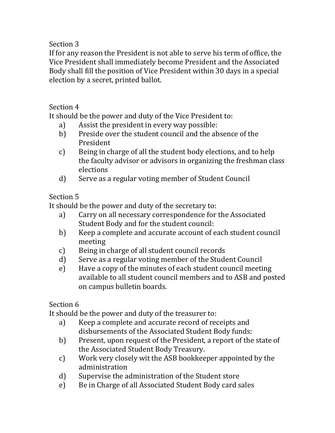If for any reason the President is not able to serve his term of office, the Vice President shall immediately become President and the Associated Body shall fill the position of Vice President within 30 days in a special election by a secret, printed ballot.

Section 4

It should be the power and duty of the Vice President to:

- a) Assist the president in every way possible:
- b) Preside over the student council and the absence of the President
- c) Being in charge of all the student body elections, and to help the faculty advisor or advisors in organizing the freshman class elections
- d) Serve as a regular voting member of Student Council

# Section 5

It should be the power and duty of the secretary to:

- a) Carry on all necessary correspondence for the Associated Student Body and for the student council:
- b) Keep a complete and accurate account of each student council meeting
- c) Being in charge of all student council records
- d) Serve as a regular voting member of the Student Council
- e) Have a copy of the minutes of each student council meeting available to all student council members and to ASB and posted on campus bulletin boards.

Section 6

It should be the power and duty of the treasurer to:

- a) Keep a complete and accurate record of receipts and disbursements of the Associated Student Body funds:
- b) Present, upon request of the President, a report of the state of the Associated Student Body Treasury.
- c) Work very closely wit the ASB bookkeeper appointed by the administration
- d) Supervise the administration of the Student store
- e) Be in Charge of all Associated Student Body card sales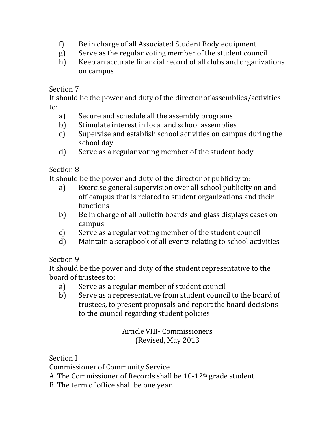- f) Be in charge of all Associated Student Body equipment
- g) Serve as the regular voting member of the student council
- h) Keep an accurate financial record of all clubs and organizations on campus

It should be the power and duty of the director of assemblies/activities to:

- a) Secure and schedule all the assembly programs
- b) Stimulate interest in local and school assemblies
- c) Supervise and establish school activities on campus during the school day
- d) Serve as a regular voting member of the student body

### Section 8

It should be the power and duty of the director of publicity to:

- a) Exercise general supervision over all school publicity on and off campus that is related to student organizations and their functions
- b) Be in charge of all bulletin boards and glass displays cases on campus
- c) Serve as a regular voting member of the student council
- d) Maintain a scrapbook of all events relating to school activities

### Section 9

It should be the power and duty of the student representative to the board of trustees to:

- a) Serve as a regular member of student council
- b) Serve as a representative from student council to the board of trustees, to present proposals and report the board decisions to the council regarding student policies

### Article VIII- Commissioners (Revised, May 2013

Section I

Commissioner of Community Service

A. The Commissioner of Records shall be 10-12th grade student.

B. The term of office shall be one year.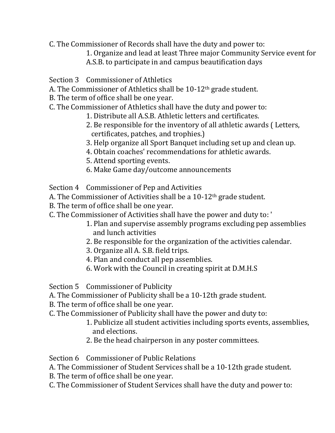- C. The Commissioner of Records shall have the duty and power to:
	- 1. Organize and lead at least Three major Community Service event for
	- A.S.B. to participate in and campus beautification days
- Section 3 Commissioner of Athletics
- A. The Commissioner of Athletics shall be 10-12th grade student.
- B. The term of office shall be one year.
- C. The Commissioner of Athletics shall have the duty and power to:
	- 1. Distribute all A.S.B. Athletic letters and certificates.
	- 2. Be responsible for the inventory of all athletic awards ( Letters, certificates, patches, and trophies.)
	- 3. Help organize all Sport Banquet including set up and clean up.
	- 4. Obtain coaches' recommendations for athletic awards.
	- 5. Attend sporting events.
	- 6. Make Game day/outcome announcements
- Section 4 Commissioner of Pep and Activities
- A. The Commissioner of Activities shall be a 10-12<sup>th</sup> grade student.
- B. The term of office shall be one year.
- C. The Commissioner of Activities shall have the power and duty to: '
	- 1. Plan and supervise assembly programs excluding pep assemblies and lunch activities
	- 2. Be responsible for the organization of the activities calendar.
	- 3. Organize all A. S.B. field trips.
	- 4. Plan and conduct all pep assemblies.
	- 6. Work with the Council in creating spirit at D.M.H.S

Section 5 Commissioner of Publicity

- A. The Commissioner of Publicity shall be a 10-12th grade student.
- B. The term of office shall be one year.
- C. The Commissioner of Publicity shall have the power and duty to:
	- 1. Publicize all student activities including sports events, assemblies, and elections.
	- 2. Be the head chairperson in any poster committees.

Section 6 Commissioner of Public Relations

A. The Commissioner of Student Services shall be a 10-12th grade student.

- B. The term of office shall be one year.
- C. The Commissioner of Student Services shall have the duty and power to: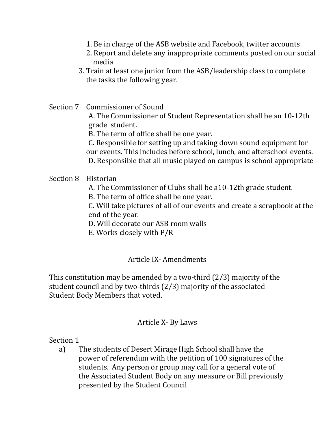- 1. Be in charge of the ASB website and Facebook, twitter accounts
- 2. Report and delete any inappropriate comments posted on our social media
- 3. Train at least one junior from the ASB/leadership class to complete the tasks the following year.

Section 7 Commissioner of Sound

A. The Commissioner of Student Representation shall be an 10-12th grade student.

B. The term of office shall be one year.

C. Responsible for setting up and taking down sound equipment for our events. This includes before school, lunch, and afterschool events. D. Responsible that all music played on campus is school appropriate

#### Section 8 Historian

- A. The Commissioner of Clubs shall be a10-12th grade student.
- B. The term of office shall be one year.

C. Will take pictures of all of our events and create a scrapbook at the end of the year.

D. Will decorate our ASB room walls

E. Works closely with P/R

#### Article IX- Amendments

This constitution may be amended by a two-third (2/3) majority of the student council and by two-thirds (2/3) majority of the associated Student Body Members that voted.

#### Article X- By Laws

Section 1

a) The students of Desert Mirage High School shall have the power of referendum with the petition of 100 signatures of the students. Any person or group may call for a general vote of the Associated Student Body on any measure or Bill previously presented by the Student Council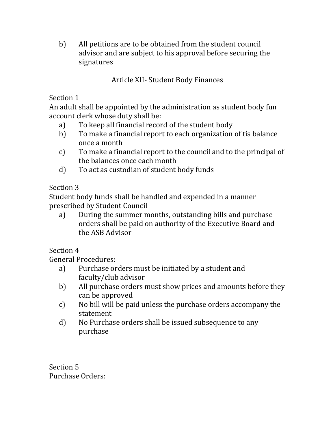b) All petitions are to be obtained from the student council advisor and are subject to his approval before securing the signatures

Article XII- Student Body Finances

Section 1

An adult shall be appointed by the administration as student body fun account clerk whose duty shall be:

- a) To keep all financial record of the student body
- b) To make a financial report to each organization of tis balance once a month
- c) To make a financial report to the council and to the principal of the balances once each month
- d) To act as custodian of student body funds

# Section 3

Student body funds shall be handled and expended in a manner prescribed by Student Council

a) During the summer months, outstanding bills and purchase orders shall be paid on authority of the Executive Board and the ASB Advisor

Section 4

General Procedures:

- a) Purchase orders must be initiated by a student and faculty/club advisor
- b) All purchase orders must show prices and amounts before they can be approved
- c) No bill will be paid unless the purchase orders accompany the statement
- d) No Purchase orders shall be issued subsequence to any purchase

Section 5 Purchase Orders: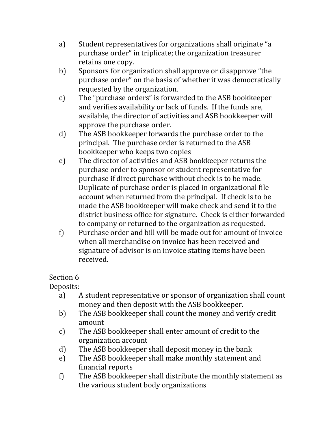- a) Student representatives for organizations shall originate "a purchase order" in triplicate; the organization treasurer retains one copy.
- b) Sponsors for organization shall approve or disapprove "the purchase order" on the basis of whether it was democratically requested by the organization.
- c) The "purchase orders" is forwarded to the ASB bookkeeper and verifies availability or lack of funds. If the funds are, available, the director of activities and ASB bookkeeper will approve the purchase order.
- d) The ASB bookkeeper forwards the purchase order to the principal. The purchase order is returned to the ASB bookkeeper who keeps two copies
- e) The director of activities and ASB bookkeeper returns the purchase order to sponsor or student representative for purchase if direct purchase without check is to be made. Duplicate of purchase order is placed in organizational file account when returned from the principal. If check is to be made the ASB bookkeeper will make check and send it to the district business office for signature. Check is either forwarded to company or returned to the organization as requested.
- f) Purchase order and bill will be made out for amount of invoice when all merchandise on invoice has been received and signature of advisor is on invoice stating items have been received.

Deposits:

- a) A student representative or sponsor of organization shall count money and then deposit with the ASB bookkeeper.
- b) The ASB bookkeeper shall count the money and verify credit amount
- c) The ASB bookkeeper shall enter amount of credit to the organization account
- d) The ASB bookkeeper shall deposit money in the bank
- e) The ASB bookkeeper shall make monthly statement and financial reports
- f) The ASB bookkeeper shall distribute the monthly statement as the various student body organizations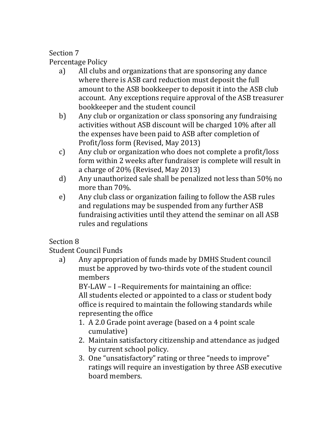Percentage Policy

- a) All clubs and organizations that are sponsoring any dance where there is ASB card reduction must deposit the full amount to the ASB bookkeeper to deposit it into the ASB club account. Any exceptions require approval of the ASB treasurer bookkeeper and the student council
- b) Any club or organization or class sponsoring any fundraising activities without ASB discount will be charged 10% after all the expenses have been paid to ASB after completion of Profit/loss form (Revised, May 2013)
- c) Any club or organization who does not complete a profit/loss form within 2 weeks after fundraiser is complete will result in a charge of 20% (Revised, May 2013)
- d) Any unauthorized sale shall be penalized not less than 50% no more than 70%.
- e) Any club class or organization failing to follow the ASB rules and regulations may be suspended from any further ASB fundraising activities until they attend the seminar on all ASB rules and regulations

# Section 8

Student Council Funds

a) Any appropriation of funds made by DMHS Student council must be approved by two-thirds vote of the student council members

BY-LAW – I –Requirements for maintaining an office: All students elected or appointed to a class or student body office is required to maintain the following standards while representing the office

- 1. A 2.0 Grade point average (based on a 4 point scale cumulative)
- 2. Maintain satisfactory citizenship and attendance as judged by current school policy.
- 3. One "unsatisfactory" rating or three "needs to improve" ratings will require an investigation by three ASB executive board members.